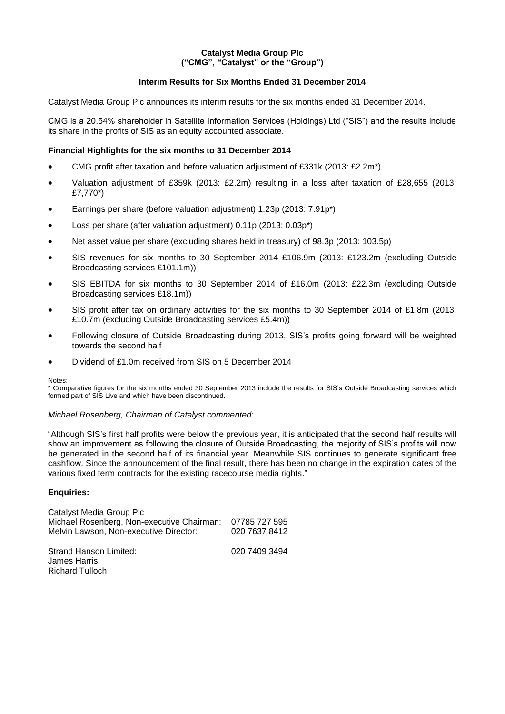### **Catalyst Media Group Plc ("CMG", "Catalyst" or the "Group")**

## **Interim Results for Six Months Ended 31 December 2014**

Catalyst Media Group Plc announces its interim results for the six months ended 31 December 2014.

CMG is a 20.54% shareholder in Satellite Information Services (Holdings) Ltd ("SIS") and the results include its share in the profits of SIS as an equity accounted associate.

### **Financial Highlights for the six months to 31 December 2014**

- CMG profit after taxation and before valuation adjustment of £331k (2013: £2.2m\*)
- Valuation adjustment of £359k (2013: £2.2m) resulting in a loss after taxation of £28,655 (2013: £7,770\*)
- Earnings per share (before valuation adjustment) 1.23p (2013: 7.91p\*)
- Loss per share (after valuation adjustment) 0.11p (2013: 0.03p\*)
- Net asset value per share (excluding shares held in treasury) of 98.3p (2013: 103.5p)
- SIS revenues for six months to 30 September 2014 £106.9m (2013: £123.2m (excluding Outside Broadcasting services £101.1m))
- SIS EBITDA for six months to 30 September 2014 of £16.0m (2013: £22.3m (excluding Outside Broadcasting services £18.1m))
- SIS profit after tax on ordinary activities for the six months to 30 September 2014 of £1.8m (2013: £10.7m (excluding Outside Broadcasting services £5.4m))
- Following closure of Outside Broadcasting during 2013, SIS's profits going forward will be weighted towards the second half
- Dividend of £1.0m received from SIS on 5 December 2014

#### Notes:

\* Comparative figures for the six months ended 30 September 2013 include the results for SIS's Outside Broadcasting services which formed part of SIS Live and which have been discontinued.

### *Michael Rosenberg, Chairman of Catalyst commented:*

"Although SIS's first half profits were below the previous year, it is anticipated that the second half results will show an improvement as following the closure of Outside Broadcasting, the majority of SIS's profits will now be generated in the second half of its financial year. Meanwhile SIS continues to generate significant free cashflow. Since the announcement of the final result, there has been no change in the expiration dates of the various fixed term contracts for the existing racecourse media rights."

### **Enquiries:**

| Catalyst Media Group Plc                   |               |
|--------------------------------------------|---------------|
| Michael Rosenberg, Non-executive Chairman: | 07785 727 595 |
| Melvin Lawson, Non-executive Director:     | 020 7637 8412 |
|                                            |               |
| <b>Strand Hanson Limited:</b>              | 020 7409 3494 |
| James Harris                               |               |
| <b>Richard Tulloch</b>                     |               |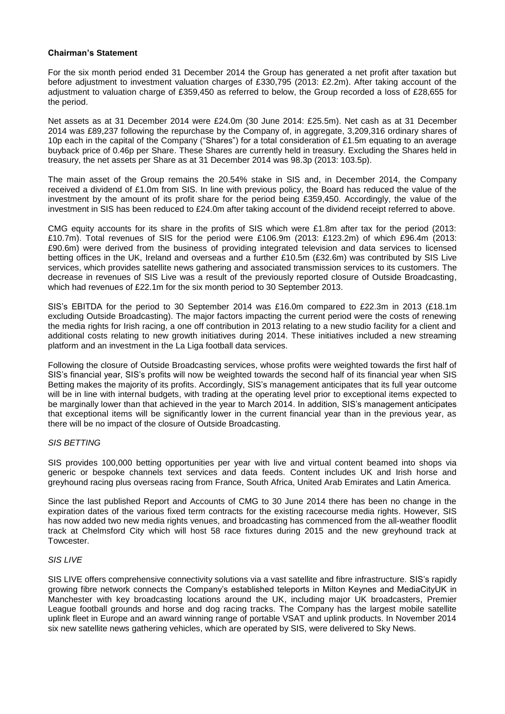### **Chairman's Statement**

For the six month period ended 31 December 2014 the Group has generated a net profit after taxation but before adjustment to investment valuation charges of £330,795 (2013: £2.2m). After taking account of the adjustment to valuation charge of £359,450 as referred to below, the Group recorded a loss of £28,655 for the period.

Net assets as at 31 December 2014 were £24.0m (30 June 2014: £25.5m). Net cash as at 31 December 2014 was £89,237 following the repurchase by the Company of, in aggregate, 3,209,316 ordinary shares of 10p each in the capital of the Company ("Shares") for a total consideration of £1.5m equating to an average buyback price of 0.46p per Share. These Shares are currently held in treasury. Excluding the Shares held in treasury, the net assets per Share as at 31 December 2014 was 98.3p (2013: 103.5p).

The main asset of the Group remains the 20.54% stake in SIS and, in December 2014, the Company received a dividend of £1.0m from SIS. In line with previous policy, the Board has reduced the value of the investment by the amount of its profit share for the period being £359,450. Accordingly, the value of the investment in SIS has been reduced to £24.0m after taking account of the dividend receipt referred to above.

CMG equity accounts for its share in the profits of SIS which were £1.8m after tax for the period (2013: £10.7m). Total revenues of SIS for the period were £106.9m (2013: £123.2m) of which £96.4m (2013: £90.6m) were derived from the business of providing integrated television and data services to licensed betting offices in the UK, Ireland and overseas and a further £10.5m (£32.6m) was contributed by SIS Live services, which provides satellite news gathering and associated transmission services to its customers. The decrease in revenues of SIS Live was a result of the previously reported closure of Outside Broadcasting, which had revenues of £22.1m for the six month period to 30 September 2013.

SIS's EBITDA for the period to 30 September 2014 was £16.0m compared to £22.3m in 2013 (£18.1m excluding Outside Broadcasting). The major factors impacting the current period were the costs of renewing the media rights for Irish racing, a one off contribution in 2013 relating to a new studio facility for a client and additional costs relating to new growth initiatives during 2014. These initiatives included a new streaming platform and an investment in the La Liga football data services.

Following the closure of Outside Broadcasting services, whose profits were weighted towards the first half of SIS's financial year, SIS's profits will now be weighted towards the second half of its financial year when SIS Betting makes the majority of its profits. Accordingly, SIS's management anticipates that its full year outcome will be in line with internal budgets, with trading at the operating level prior to exceptional items expected to be marginally lower than that achieved in the year to March 2014. In addition, SIS's management anticipates that exceptional items will be significantly lower in the current financial year than in the previous year, as there will be no impact of the closure of Outside Broadcasting.

### *SIS BETTING*

SIS provides 100,000 betting opportunities per year with live and virtual content beamed into shops via generic or bespoke channels text services and data feeds. Content includes UK and Irish horse and greyhound racing plus overseas racing from France, South Africa, United Arab Emirates and Latin America.

Since the last published Report and Accounts of CMG to 30 June 2014 there has been no change in the expiration dates of the various fixed term contracts for the existing racecourse media rights. However, SIS has now added two new media rights venues, and broadcasting has commenced from the all-weather floodlit track at Chelmsford City which will host 58 race fixtures during 2015 and the new greyhound track at Towcester.

#### *SIS LIVE*

SIS LIVE offers comprehensive connectivity solutions via a vast satellite and fibre infrastructure. SIS's rapidly growing fibre network connects the Company's established teleports in Milton Keynes and MediaCityUK in Manchester with key broadcasting locations around the UK, including major UK broadcasters, Premier League football grounds and horse and dog racing tracks. The Company has the largest mobile satellite uplink fleet in Europe and an award winning range of portable VSAT and uplink products. In November 2014 six new satellite news gathering vehicles, which are operated by SIS, were delivered to Sky News.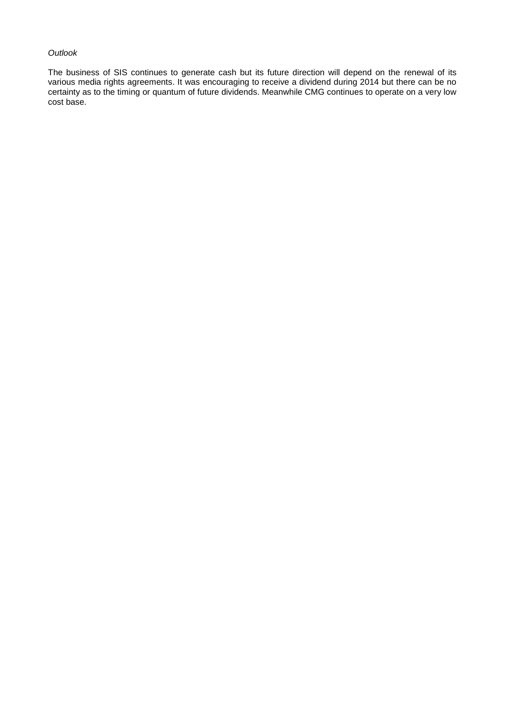### *Outlook*

The business of SIS continues to generate cash but its future direction will depend on the renewal of its various media rights agreements. It was encouraging to receive a dividend during 2014 but there can be no certainty as to the timing or quantum of future dividends. Meanwhile CMG continues to operate on a very low cost base.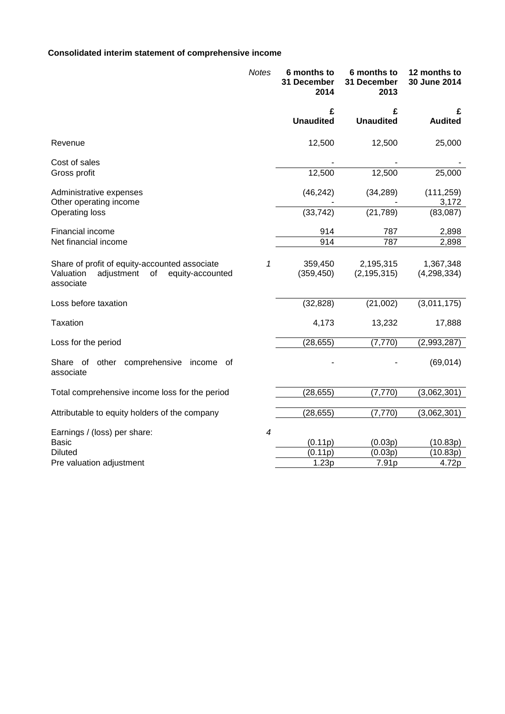# **Consolidated interim statement of comprehensive income**

|                                                                                                                 | <b>Notes</b>             | 6 months to<br>31 December<br>2014 | 6 months to<br>31 December<br>2013 | 12 months to<br>30 June 2014 |
|-----------------------------------------------------------------------------------------------------------------|--------------------------|------------------------------------|------------------------------------|------------------------------|
|                                                                                                                 |                          | £<br><b>Unaudited</b>              | £<br><b>Unaudited</b>              | £<br><b>Audited</b>          |
| Revenue                                                                                                         |                          | 12,500                             | 12,500                             | 25,000                       |
| Cost of sales<br>Gross profit                                                                                   |                          | 12,500                             | 12,500                             | 25,000                       |
| Administrative expenses                                                                                         |                          | (46, 242)                          | (34, 289)                          | (111, 259)                   |
| Other operating income<br><b>Operating loss</b>                                                                 |                          | (33, 742)                          | (21, 789)                          | 3,172<br>(83,087)            |
| Financial income                                                                                                |                          | 914                                | 787                                | 2,898                        |
| Net financial income                                                                                            |                          | 914                                | 787                                | 2,898                        |
| Share of profit of equity-accounted associate<br>Valuation<br>adjustment<br>of<br>equity-accounted<br>associate | 1                        | 359,450<br>(359, 450)              | 2,195,315<br>(2, 195, 315)         | 1,367,348<br>(4, 298, 334)   |
| Loss before taxation                                                                                            |                          | (32, 828)                          | (21,002)                           | (3,011,175)                  |
| Taxation                                                                                                        |                          | 4,173                              | 13,232                             | 17,888                       |
| Loss for the period                                                                                             |                          | (28, 655)                          | (7, 770)                           | (2,993,287)                  |
| other comprehensive<br>Share of<br>income<br>of<br>associate                                                    |                          |                                    |                                    | (69, 014)                    |
| Total comprehensive income loss for the period                                                                  |                          | (28, 655)                          | (7, 770)                           | (3,062,301)                  |
| Attributable to equity holders of the company                                                                   |                          | (28, 655)                          | (7, 770)                           | (3,062,301)                  |
| Earnings / (loss) per share:                                                                                    | $\overline{\mathcal{A}}$ |                                    |                                    |                              |
| <b>Basic</b>                                                                                                    |                          | (0.11p)                            | (0.03p)                            | (10.83p)                     |
| <b>Diluted</b>                                                                                                  |                          | (0.11p)                            | (0.03p)                            | (10.83p)                     |
| Pre valuation adjustment                                                                                        |                          | 1.23p                              | 7.91p                              | 4.72p                        |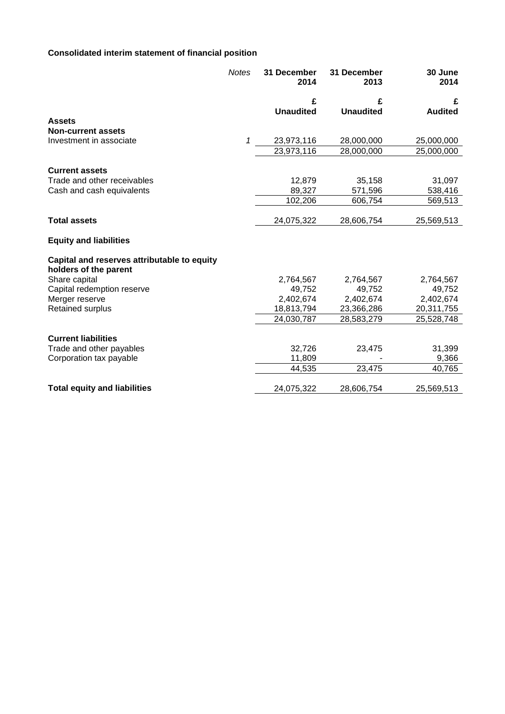# **Consolidated interim statement of financial position**

|                                                                      | <b>Notes</b> | 31 December<br>2014 | 31 December<br>2013 | 30 June<br>2014 |
|----------------------------------------------------------------------|--------------|---------------------|---------------------|-----------------|
|                                                                      |              | £                   | £                   | £               |
|                                                                      |              | <b>Unaudited</b>    | <b>Unaudited</b>    | <b>Audited</b>  |
| <b>Assets</b>                                                        |              |                     |                     |                 |
| <b>Non-current assets</b>                                            |              |                     |                     |                 |
| Investment in associate                                              | 1            | 23,973,116          | 28,000,000          | 25,000,000      |
|                                                                      |              | 23,973,116          | 28,000,000          | 25,000,000      |
| <b>Current assets</b>                                                |              |                     |                     |                 |
| Trade and other receivables                                          |              | 12,879              | 35,158              | 31,097          |
| Cash and cash equivalents                                            |              | 89,327              | 571,596             | 538,416         |
|                                                                      |              | 102,206             | 606,754             | 569,513         |
|                                                                      |              |                     |                     |                 |
| <b>Total assets</b>                                                  |              | 24,075,322          | 28,606,754          | 25,569,513      |
| <b>Equity and liabilities</b>                                        |              |                     |                     |                 |
| Capital and reserves attributable to equity<br>holders of the parent |              |                     |                     |                 |
| Share capital                                                        |              | 2,764,567           | 2,764,567           | 2,764,567       |
| Capital redemption reserve                                           |              | 49,752              | 49,752              | 49,752          |
| Merger reserve                                                       |              | 2,402,674           | 2,402,674           | 2,402,674       |
| Retained surplus                                                     |              | 18,813,794          | 23,366,286          | 20,311,755      |
|                                                                      |              | 24,030,787          | 28,583,279          | 25,528,748      |
| <b>Current liabilities</b>                                           |              |                     |                     |                 |
| Trade and other payables                                             |              | 32,726              | 23,475              | 31,399          |
| Corporation tax payable                                              |              | 11,809              |                     | 9,366           |
|                                                                      |              | 44,535              | 23,475              | 40,765          |
| <b>Total equity and liabilities</b>                                  |              | 24,075,322          | 28,606,754          | 25,569,513      |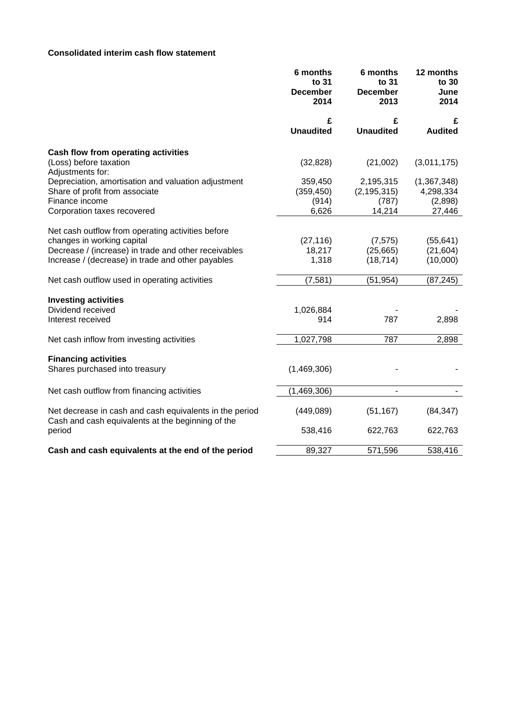## **Consolidated interim cash flow statement**

|                                                                                                              | 6 months<br>to 31<br><b>December</b><br>2014 | 6 months<br>to 31<br><b>December</b><br>2013 | 12 months<br>to 30<br>June<br>2014 |
|--------------------------------------------------------------------------------------------------------------|----------------------------------------------|----------------------------------------------|------------------------------------|
|                                                                                                              | £<br><b>Unaudited</b>                        | £<br><b>Unaudited</b>                        | £<br><b>Audited</b>                |
| Cash flow from operating activities                                                                          |                                              |                                              |                                    |
| (Loss) before taxation<br>Adjustments for:                                                                   | (32, 828)                                    | (21,002)                                     | (3,011,175)                        |
| Depreciation, amortisation and valuation adjustment<br>Share of profit from associate                        | 359,450<br>(359, 450)                        | 2,195,315<br>(2, 195, 315)                   | (1, 367, 348)<br>4,298,334         |
| Finance income<br>Corporation taxes recovered                                                                | (914)<br>6,626                               | (787)<br>14,214                              | (2,898)<br>27,446                  |
| Net cash outflow from operating activities before                                                            |                                              |                                              |                                    |
| changes in working capital                                                                                   | (27, 116)                                    | (7, 575)                                     | (55, 641)                          |
| Decrease / (increase) in trade and other receivables                                                         | 18,217                                       | (25,665)                                     | (21, 604)                          |
| Increase / (decrease) in trade and other payables                                                            | 1,318                                        | (18, 714)                                    | (10,000)                           |
| Net cash outflow used in operating activities                                                                | (7, 581)                                     | (51, 954)                                    | (87, 245)                          |
| <b>Investing activities</b>                                                                                  |                                              |                                              |                                    |
| Dividend received                                                                                            | 1,026,884                                    |                                              |                                    |
| Interest received                                                                                            | 914                                          | 787                                          | 2,898                              |
| Net cash inflow from investing activities                                                                    | 1,027,798                                    | 787                                          | 2,898                              |
| <b>Financing activities</b>                                                                                  |                                              |                                              |                                    |
| Shares purchased into treasury                                                                               | (1,469,306)                                  |                                              |                                    |
| Net cash outflow from financing activities                                                                   | (1,469,306)                                  | $\blacksquare$                               |                                    |
| Net decrease in cash and cash equivalents in the period<br>Cash and cash equivalents at the beginning of the | (449, 089)                                   | (51, 167)                                    | (84, 347)                          |
| period                                                                                                       | 538,416                                      | 622,763                                      | 622,763                            |
| Cash and cash equivalents at the end of the period                                                           | 89,327                                       | 571,596                                      | 538,416                            |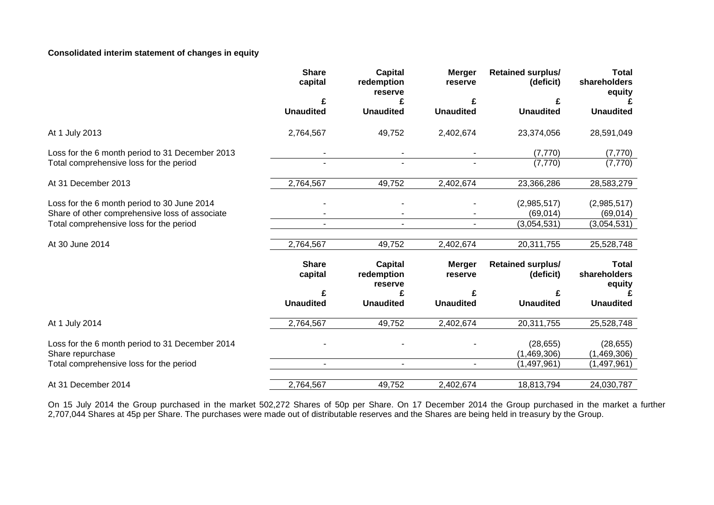## **Consolidated interim statement of changes in equity**

|                                                                                               | <b>Share</b><br>capital | <b>Capital</b><br>redemption<br>reserve | <b>Merger</b><br>reserve | <b>Retained surplus/</b><br>(deficit) | <b>Total</b><br>shareholders<br>equity |
|-----------------------------------------------------------------------------------------------|-------------------------|-----------------------------------------|--------------------------|---------------------------------------|----------------------------------------|
|                                                                                               |                         |                                         |                          |                                       |                                        |
|                                                                                               | <b>Unaudited</b>        | <b>Unaudited</b>                        | <b>Unaudited</b>         | <b>Unaudited</b>                      | <b>Unaudited</b>                       |
| At 1 July 2013                                                                                | 2,764,567               | 49,752                                  | 2,402,674                | 23,374,056                            | 28,591,049                             |
| Loss for the 6 month period to 31 December 2013                                               |                         |                                         |                          | (7, 770)                              | (7, 770)                               |
| Total comprehensive loss for the period                                                       |                         |                                         |                          | (7, 770)                              | (7, 770)                               |
| At 31 December 2013                                                                           | 2,764,567               | 49,752                                  | 2,402,674                | 23,366,286                            | 28,583,279                             |
| Loss for the 6 month period to 30 June 2014<br>Share of other comprehensive loss of associate |                         |                                         |                          | (2,985,517)<br>(69, 014)              | (2,985,517)<br>(69, 014)               |
| Total comprehensive loss for the period                                                       |                         |                                         | $\blacksquare$           | (3,054,531)                           | (3,054,531)                            |
| At 30 June 2014                                                                               | 2,764,567               | 49,752                                  | 2,402,674                | 20,311,755                            | 25,528,748                             |
|                                                                                               | <b>Share</b><br>capital | <b>Capital</b><br>redemption<br>reserve | <b>Merger</b><br>reserve | <b>Retained surplus/</b><br>(deficit) | <b>Total</b><br>shareholders<br>equity |
|                                                                                               |                         |                                         |                          |                                       |                                        |
|                                                                                               | <b>Unaudited</b>        | <b>Unaudited</b>                        | <b>Unaudited</b>         | <b>Unaudited</b>                      | <b>Unaudited</b>                       |
| At 1 July 2014                                                                                | 2,764,567               | 49,752                                  | 2,402,674                | 20,311,755                            | 25,528,748                             |
| Loss for the 6 month period to 31 December 2014<br>Share repurchase                           |                         |                                         |                          | (28, 655)<br>(1,469,306)              | (28, 655)<br>(1,469,306)               |
| Total comprehensive loss for the period                                                       | $\blacksquare$          | $\blacksquare$                          | $\sim$                   | (1,497,961)                           | (1,497,961)                            |
| At 31 December 2014                                                                           | 2,764,567               | 49,752                                  | 2,402,674                | 18,813,794                            | 24,030,787                             |

On 15 July 2014 the Group purchased in the market 502,272 Shares of 50p per Share. On 17 December 2014 the Group purchased in the market a further 2,707,044 Shares at 45p per Share. The purchases were made out of distributable reserves and the Shares are being held in treasury by the Group.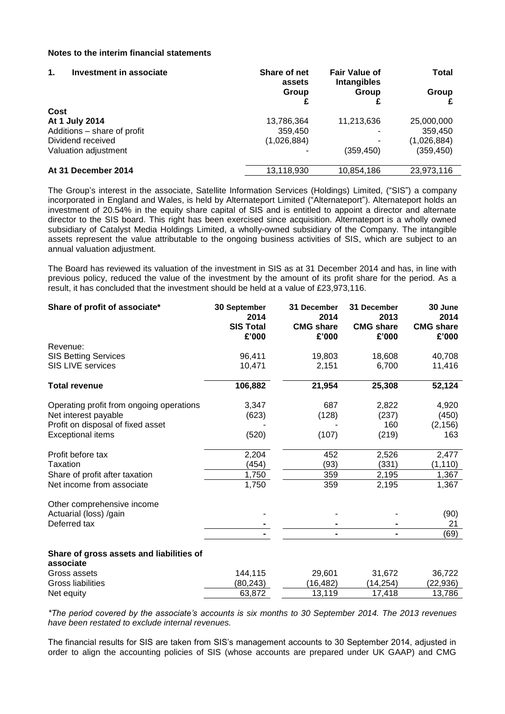### **Notes to the interim financial statements**

| $\mathbf 1$ .<br>Investment in associate | Share of net<br>assets | <b>Fair Value of</b><br><b>Intangibles</b> | Total       |  |
|------------------------------------------|------------------------|--------------------------------------------|-------------|--|
|                                          | Group                  | Group                                      | Group       |  |
| Cost                                     |                        |                                            |             |  |
| At 1 July 2014                           | 13,786,364             | 11,213,636                                 | 25,000,000  |  |
| Additions - share of profit              | 359,450                |                                            | 359,450     |  |
| Dividend received                        | (1,026,884)            |                                            | (1,026,884) |  |
| Valuation adjustment                     |                        | (359, 450)                                 | (359, 450)  |  |
| At 31 December 2014                      | 13,118,930             | 10,854,186                                 | 23,973,116  |  |

The Group's interest in the associate, Satellite Information Services (Holdings) Limited, ("SIS") a company incorporated in England and Wales, is held by Alternateport Limited ("Alternateport"). Alternateport holds an investment of 20.54% in the equity share capital of SIS and is entitled to appoint a director and alternate director to the SIS board. This right has been exercised since acquisition. Alternateport is a wholly owned subsidiary of Catalyst Media Holdings Limited, a wholly-owned subsidiary of the Company. The intangible assets represent the value attributable to the ongoing business activities of SIS, which are subject to an annual valuation adjustment.

The Board has reviewed its valuation of the investment in SIS as at 31 December 2014 and has, in line with previous policy, reduced the value of the investment by the amount of its profit share for the period. As a result, it has concluded that the investment should be held at a value of £23,973,116.

| Share of profit of associate*                         | 30 September<br>2014<br><b>SIS Total</b><br>£'000 | 31 December<br>2014<br><b>CMG share</b><br>£'000 | 31 December<br>2013<br><b>CMG share</b><br>£'000 | 30 June<br>2014<br><b>CMG</b> share<br>£'000 |
|-------------------------------------------------------|---------------------------------------------------|--------------------------------------------------|--------------------------------------------------|----------------------------------------------|
| Revenue:                                              |                                                   |                                                  |                                                  |                                              |
| <b>SIS Betting Services</b>                           | 96,411                                            | 19,803                                           | 18,608                                           | 40,708                                       |
| <b>SIS LIVE services</b>                              | 10,471                                            | 2,151                                            | 6,700                                            | 11,416                                       |
| <b>Total revenue</b>                                  | 106,882                                           | 21,954                                           | 25,308                                           | 52,124                                       |
|                                                       |                                                   |                                                  |                                                  |                                              |
| Operating profit from ongoing operations              | 3,347                                             | 687                                              | 2,822                                            | 4,920                                        |
| Net interest payable                                  | (623)                                             | (128)                                            | (237)                                            | (450)                                        |
| Profit on disposal of fixed asset                     |                                                   |                                                  | 160                                              | (2, 156)                                     |
| <b>Exceptional items</b>                              | (520)                                             | (107)                                            | (219)                                            | 163                                          |
| Profit before tax                                     | 2,204                                             | 452                                              | 2,526                                            | 2,477                                        |
| Taxation                                              | (454)                                             | (93)                                             | (331)                                            | (1, 110)                                     |
| Share of profit after taxation                        | 1,750                                             | 359                                              | 2,195                                            | 1,367                                        |
| Net income from associate                             | 1,750                                             | 359                                              | 2,195                                            | 1,367                                        |
| Other comprehensive income                            |                                                   |                                                  |                                                  |                                              |
| Actuarial (loss) /gain                                |                                                   |                                                  |                                                  | (90)                                         |
| Deferred tax                                          |                                                   |                                                  |                                                  | 21                                           |
|                                                       |                                                   |                                                  |                                                  | (69)                                         |
| Share of gross assets and liabilities of<br>associate |                                                   |                                                  |                                                  |                                              |
| Gross assets                                          | 144,115                                           | 29,601                                           | 31,672                                           | 36,722                                       |
| Gross liabilities                                     | (80, 243)                                         | (16, 482)                                        | (14, 254)                                        | (22,936)                                     |
| Net equity                                            | 63,872                                            | 13,119                                           | 17,418                                           | 13,786                                       |

*\*The period covered by the associate's accounts is six months to 30 September 2014. The 2013 revenues have been restated to exclude internal revenues.*

The financial results for SIS are taken from SIS's management accounts to 30 September 2014, adjusted in order to align the accounting policies of SIS (whose accounts are prepared under UK GAAP) and CMG